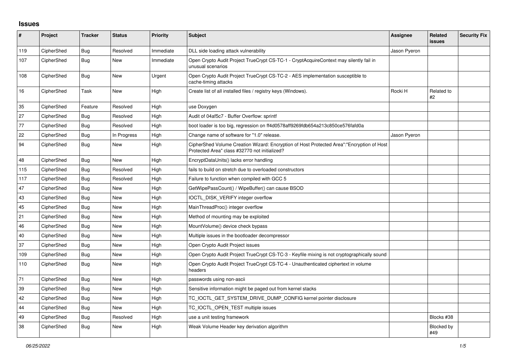## **Issues**

| #   | Project    | <b>Tracker</b> | <b>Status</b> | <b>Priority</b> | <b>Subject</b>                                                                                                                             | Assignee     | Related<br><b>issues</b> | <b>Security Fix</b> |
|-----|------------|----------------|---------------|-----------------|--------------------------------------------------------------------------------------------------------------------------------------------|--------------|--------------------------|---------------------|
| 119 | CipherShed | Bug            | Resolved      | Immediate       | DLL side loading attack vulnerability                                                                                                      | Jason Pyeron |                          |                     |
| 107 | CipherShed | <b>Bug</b>     | <b>New</b>    | Immediate       | Open Crypto Audit Project TrueCrypt CS-TC-1 - CryptAcquireContext may silently fail in<br>unusual scenarios                                |              |                          |                     |
| 108 | CipherShed | <b>Bug</b>     | <b>New</b>    | Urgent          | Open Crypto Audit Project TrueCrypt CS-TC-2 - AES implementation susceptible to<br>cache-timing attacks                                    |              |                          |                     |
| 16  | CipherShed | Task           | <b>New</b>    | High            | Create list of all installed files / registry keys (Windows).                                                                              | Rocki H      | Related to<br>#2         |                     |
| 35  | CipherShed | Feature        | Resolved      | High            | use Doxygen                                                                                                                                |              |                          |                     |
| 27  | CipherShed | Bug            | Resolved      | High            | Audit of 04af5c7 - Buffer Overflow: sprintf                                                                                                |              |                          |                     |
| 77  | CipherShed | Bug            | Resolved      | High            | boot loader is too big, regression on ff4d0578aff9269fdb654a213c850ce576fafd0a                                                             |              |                          |                     |
| 22  | CipherShed | <b>Bug</b>     | In Progress   | High            | Change name of software for "1.0" release.                                                                                                 | Jason Pyeron |                          |                     |
| 94  | CipherShed | Bug            | New           | High            | CipherShed Volume Creation Wizard: Encryption of Host Protected Area":"Encryption of Host<br>Protected Area" class #32770 not initialized? |              |                          |                     |
| 48  | CipherShed | Bug            | New           | High            | EncryptDataUnits() lacks error handling                                                                                                    |              |                          |                     |
| 115 | CipherShed | <b>Bug</b>     | Resolved      | High            | fails to build on stretch due to overloaded constructors                                                                                   |              |                          |                     |
| 117 | CipherShed | Bug            | Resolved      | High            | Failure to function when compiled with GCC 5                                                                                               |              |                          |                     |
| 47  | CipherShed | Bug            | New           | High            | GetWipePassCount() / WipeBuffer() can cause BSOD                                                                                           |              |                          |                     |
| 43  | CipherShed | <b>Bug</b>     | <b>New</b>    | High            | IOCTL_DISK_VERIFY integer overflow                                                                                                         |              |                          |                     |
| 45  | CipherShed | Bug            | <b>New</b>    | High            | MainThreadProc() integer overflow                                                                                                          |              |                          |                     |
| 21  | CipherShed | Bug            | New           | High            | Method of mounting may be exploited                                                                                                        |              |                          |                     |
| 46  | CipherShed | Bug            | <b>New</b>    | High            | MountVolume() device check bypass                                                                                                          |              |                          |                     |
| 40  | CipherShed | Bug            | <b>New</b>    | High            | Multiple issues in the bootloader decompressor                                                                                             |              |                          |                     |
| 37  | CipherShed | Bug            | <b>New</b>    | High            | Open Crypto Audit Project issues                                                                                                           |              |                          |                     |
| 109 | CipherShed | <b>Bug</b>     | <b>New</b>    | High            | Open Crypto Audit Project TrueCrypt CS-TC-3 - Keyfile mixing is not cryptographically sound                                                |              |                          |                     |
| 110 | CipherShed | Bug            | <b>New</b>    | High            | Open Crypto Audit Project TrueCrypt CS-TC-4 - Unauthenticated ciphertext in volume<br>headers                                              |              |                          |                     |
| 71  | CipherShed | Bug            | <b>New</b>    | High            | passwords using non-ascii                                                                                                                  |              |                          |                     |
| 39  | CipherShed | <b>Bug</b>     | <b>New</b>    | High            | Sensitive information might be paged out from kernel stacks                                                                                |              |                          |                     |
| 42  | CipherShed | <b>Bug</b>     | <b>New</b>    | High            | TC_IOCTL_GET_SYSTEM_DRIVE_DUMP_CONFIG kernel pointer disclosure                                                                            |              |                          |                     |
| 44  | CipherShed | Bug            | <b>New</b>    | High            | TC IOCTL OPEN TEST multiple issues                                                                                                         |              |                          |                     |
| 49  | CipherShed | Bug            | Resolved      | High            | use a unit testing framework                                                                                                               |              | Blocks #38               |                     |
| 38  | CipherShed | Bug            | New           | High            | Weak Volume Header key derivation algorithm                                                                                                |              | Blocked by<br>#49        |                     |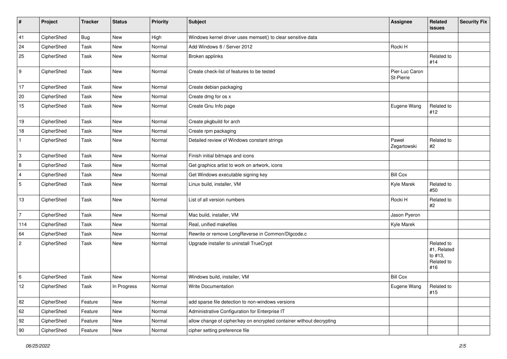| #              | Project    | <b>Tracker</b> | <b>Status</b> | <b>Priority</b> | <b>Subject</b>                                                       | Assignee                    | Related<br>issues                                         | <b>Security Fix</b> |
|----------------|------------|----------------|---------------|-----------------|----------------------------------------------------------------------|-----------------------------|-----------------------------------------------------------|---------------------|
| 41             | CipherShed | Bug            | New           | High            | Windows kernel driver uses memset() to clear sensitive data          |                             |                                                           |                     |
| 24             | CipherShed | Task           | New           | Normal          | Add Windows 8 / Server 2012                                          | Rocki H                     |                                                           |                     |
| 25             | CipherShed | Task           | New           | Normal          | Broken applinks                                                      |                             | Related to<br>#14                                         |                     |
| 9              | CipherShed | Task           | New           | Normal          | Create check-list of features to be tested                           | Pier-Luc Caron<br>St-Pierre |                                                           |                     |
| 17             | CipherShed | Task           | New           | Normal          | Create debian packaging                                              |                             |                                                           |                     |
| 20             | CipherShed | Task           | New           | Normal          | Create dmg for os x                                                  |                             |                                                           |                     |
| 15             | CipherShed | Task           | New           | Normal          | Create Gnu Info page                                                 | Eugene Wang                 | Related to<br>#12                                         |                     |
| 19             | CipherShed | Task           | New           | Normal          | Create pkgbuild for arch                                             |                             |                                                           |                     |
| 18             | CipherShed | Task           | New           | Normal          | Create rpm packaging                                                 |                             |                                                           |                     |
| $\mathbf{1}$   | CipherShed | Task           | New           | Normal          | Detailed review of Windows constant strings                          | Paweł<br>Zegartowski        | Related to<br>$\#2$                                       |                     |
| 3              | CipherShed | Task           | New           | Normal          | Finish initial bitmaps and icons                                     |                             |                                                           |                     |
| 8              | CipherShed | Task           | New           | Normal          | Get graphics artist to work on artwork, icons                        |                             |                                                           |                     |
| $\overline{4}$ | CipherShed | Task           | New           | Normal          | Get Windows executable signing key                                   | <b>Bill Cox</b>             |                                                           |                     |
| $\sqrt{5}$     | CipherShed | Task           | New           | Normal          | Linux build, installer, VM                                           | Kyle Marek                  | Related to<br>#50                                         |                     |
| 13             | CipherShed | Task           | New           | Normal          | List of all version numbers                                          | Rocki H                     | Related to<br>#2                                          |                     |
| $\overline{7}$ | CipherShed | Task           | <b>New</b>    | Normal          | Mac build, installer, VM                                             | Jason Pyeron                |                                                           |                     |
| 114            | CipherShed | Task           | New           | Normal          | Real, unified makefiles                                              | Kyle Marek                  |                                                           |                     |
| 64             | CipherShed | Task           | New           | Normal          | Rewrite or remove LongReverse in Common/Dlgcode.c                    |                             |                                                           |                     |
| $\overline{2}$ | CipherShed | Task           | New           | Normal          | Upgrade installer to uninstall TrueCrypt                             |                             | Related to<br>#1, Related<br>to #13,<br>Related to<br>#16 |                     |
| 6              | CipherShed | Task           | New           | Normal          | Windows build, installer, VM                                         | <b>Bill Cox</b>             |                                                           |                     |
| 12             | CipherShed | Task           | In Progress   | Normal          | Write Documentation                                                  | Eugene Wang                 | Related to<br>#15                                         |                     |
| 82             | CipherShed | Feature        | New           | Normal          | add sparse file detection to non-windows versions                    |                             |                                                           |                     |
| 62             | CipherShed | Feature        | New           | Normal          | Administrative Configuration for Enterprise IT                       |                             |                                                           |                     |
| 92             | CipherShed | Feature        | New           | Normal          | allow change of cipher/key on encrypted container without decrypting |                             |                                                           |                     |
| 90             | CipherShed | Feature        | New           | Normal          | cipher setting preference file                                       |                             |                                                           |                     |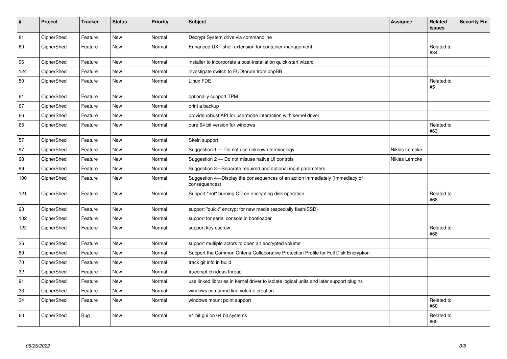| $\sharp$ | Project    | <b>Tracker</b> | <b>Status</b> | <b>Priority</b> | <b>Subject</b>                                                                                | Assignee      | Related<br><b>issues</b> | <b>Security Fix</b> |
|----------|------------|----------------|---------------|-----------------|-----------------------------------------------------------------------------------------------|---------------|--------------------------|---------------------|
| 81       | CipherShed | Feature        | <b>New</b>    | Normal          | Decrypt System drive via commandline                                                          |               |                          |                     |
| 60       | CipherShed | Feature        | New           | Normal          | Enhanced UX - shell extension for container management                                        |               | Related to<br>#34        |                     |
| 96       | CipherShed | Feature        | New           | Normal          | installer to incorporate a post-installation quick-start wizard                               |               |                          |                     |
| 124      | CipherShed | Feature        | <b>New</b>    | Normal          | investigate switch to FUDforum from phpBB                                                     |               |                          |                     |
| 50       | CipherShed | Feature        | New           | Normal          | Linux FDE                                                                                     |               | Related to<br>#5         |                     |
| 61       | CipherShed | Feature        | New           | Normal          | optionally support TPM                                                                        |               |                          |                     |
| 67       | CipherShed | Feature        | <b>New</b>    | Normal          | print a backup                                                                                |               |                          |                     |
| 66       | CipherShed | Feature        | <b>New</b>    | Normal          | provide robust API for usermode interaction with kernel driver                                |               |                          |                     |
| 65       | CipherShed | Feature        | <b>New</b>    | Normal          | pure 64 bit version for windows                                                               |               | Related to<br>#63        |                     |
| 57       | CipherShed | Feature        | New           | Normal          | Skein support                                                                                 |               |                          |                     |
| 97       | CipherShed | Feature        | <b>New</b>    | Normal          | Suggestion 1 - Do not use unknown terminology                                                 | Niklas Lemcke |                          |                     |
| 98       | CipherShed | Feature        | <b>New</b>    | Normal          | Suggestion 2 - Do not misuse native UI controls                                               | Niklas Lemcke |                          |                     |
| 99       | CipherShed | Feature        | New           | Normal          | Suggestion 3-Separate required and optional input parameters                                  |               |                          |                     |
| 100      | CipherShed | Feature        | New           | Normal          | Suggestion 4-Display the consequences of an action immediately (Immediacy of<br>consequences) |               |                          |                     |
| 121      | CipherShed | Feature        | New           | Normal          | Support "not" burning CD on encrypting disk operation                                         |               | Related to<br>#68        |                     |
| 93       | CipherShed | Feature        | <b>New</b>    | Normal          | support "quick" encrypt for new media (especially flash/SSD)                                  |               |                          |                     |
| 102      | CipherShed | Feature        | New           | Normal          | support for serial console in bootloader                                                      |               |                          |                     |
| 122      | CipherShed | Feature        | New           | Normal          | support key escrow                                                                            |               | Related to<br>#68        |                     |
| 36       | CipherShed | Feature        | New           | Normal          | support multiple actors to open an encrypted volume                                           |               |                          |                     |
| 89       | CipherShed | Feature        | New           | Normal          | Support the Common Criteria Collaborative Protection Profile for Full Disk Encryption         |               |                          |                     |
| 70       | CipherShed | Feature        | New           | Normal          | track git info in build                                                                       |               |                          |                     |
| 32       | CipherShed | Feature        | New           | Normal          | truecrypt.ch ideas thread                                                                     |               |                          |                     |
| 91       | CipherShed | Feature        | New           | Normal          | use linked libraries in kernel driver to isolate logical units and later support plugins      |               |                          |                     |
| 33       | CipherShed | Feature        | New           | Normal          | windows comamnd line volume creation                                                          |               |                          |                     |
| 34       | CipherShed | Feature        | <b>New</b>    | Normal          | windows mount point support                                                                   |               | Related to<br>#60        |                     |
| 63       | CipherShed | Bug            | <b>New</b>    | Normal          | 64 bit gui on 64 bit systems                                                                  |               | Related to<br>#65        |                     |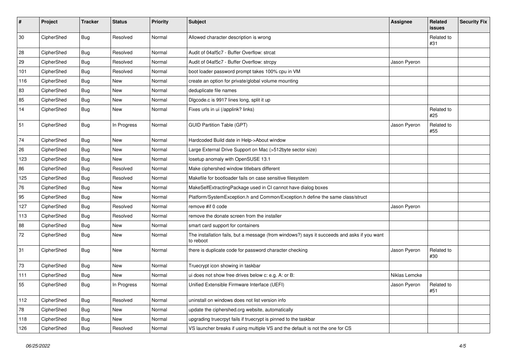| #   | Project    | <b>Tracker</b> | <b>Status</b> | Priority | <b>Subject</b>                                                                                           | <b>Assignee</b> | Related<br>issues | <b>Security Fix</b> |
|-----|------------|----------------|---------------|----------|----------------------------------------------------------------------------------------------------------|-----------------|-------------------|---------------------|
| 30  | CipherShed | Bug            | Resolved      | Normal   | Allowed character description is wrong                                                                   |                 | Related to<br>#31 |                     |
| 28  | CipherShed | <b>Bug</b>     | Resolved      | Normal   | Audit of 04af5c7 - Buffer Overflow: strcat                                                               |                 |                   |                     |
| 29  | CipherShed | <b>Bug</b>     | Resolved      | Normal   | Audit of 04af5c7 - Buffer Overflow: strcpy                                                               | Jason Pyeron    |                   |                     |
| 101 | CipherShed | Bug            | Resolved      | Normal   | boot loader password prompt takes 100% cpu in VM                                                         |                 |                   |                     |
| 116 | CipherShed | <b>Bug</b>     | <b>New</b>    | Normal   | create an option for private/global volume mounting                                                      |                 |                   |                     |
| 83  | CipherShed | <b>Bug</b>     | New           | Normal   | deduplicate file names                                                                                   |                 |                   |                     |
| 85  | CipherShed | <b>Bug</b>     | <b>New</b>    | Normal   | Digcode.c is 9917 lines long, split it up                                                                |                 |                   |                     |
| 14  | CipherShed | <b>Bug</b>     | New           | Normal   | Fixes urls in ui (/applink? links)                                                                       |                 | Related to<br>#25 |                     |
| 51  | CipherShed | <b>Bug</b>     | In Progress   | Normal   | <b>GUID Partition Table (GPT)</b>                                                                        | Jason Pyeron    | Related to<br>#55 |                     |
| 74  | CipherShed | <b>Bug</b>     | New           | Normal   | Hardcoded Build date in Help->About window                                                               |                 |                   |                     |
| 26  | CipherShed | <b>Bug</b>     | <b>New</b>    | Normal   | Large External Drive Support on Mac (>512byte sector size)                                               |                 |                   |                     |
| 123 | CipherShed | <b>Bug</b>     | New           | Normal   | losetup anomaly with OpenSUSE 13.1                                                                       |                 |                   |                     |
| 86  | CipherShed | Bug            | Resolved      | Normal   | Make ciphershed window titlebars different                                                               |                 |                   |                     |
| 125 | CipherShed | <b>Bug</b>     | Resolved      | Normal   | Makefile for bootloader fails on case sensitive filesystem                                               |                 |                   |                     |
| 76  | CipherShed | <b>Bug</b>     | <b>New</b>    | Normal   | MakeSelfExtractingPackage used in CI cannot have dialog boxes                                            |                 |                   |                     |
| 95  | CipherShed | Bug            | <b>New</b>    | Normal   | Platform/SystemException.h and Common/Exception.h define the same class/struct                           |                 |                   |                     |
| 127 | CipherShed | <b>Bug</b>     | Resolved      | Normal   | remove #if 0 code                                                                                        | Jason Pyeron    |                   |                     |
| 113 | CipherShed | <b>Bug</b>     | Resolved      | Normal   | remove the donate screen from the installer                                                              |                 |                   |                     |
| 88  | CipherShed | <b>Bug</b>     | <b>New</b>    | Normal   | smart card support for containers                                                                        |                 |                   |                     |
| 72  | CipherShed | <b>Bug</b>     | <b>New</b>    | Normal   | The installation fails, but a message (from windows?) says it succeeds and asks if you want<br>to reboot |                 |                   |                     |
| 31  | CipherShed | Bug            | <b>New</b>    | Normal   | there is duplicate code for password character checking                                                  | Jason Pyeron    | Related to<br>#30 |                     |
| 73  | CipherShed | <b>Bug</b>     | <b>New</b>    | Normal   | Truecrypt icon showing in taskbar                                                                        |                 |                   |                     |
| 111 | CipherShed | <b>Bug</b>     | <b>New</b>    | Normal   | ui does not show free drives below c: e.g. A: or B:                                                      | Niklas Lemcke   |                   |                     |
| 55  | CipherShed | <b>Bug</b>     | In Progress   | Normal   | Unified Extensible Firmware Interface (UEFI)                                                             | Jason Pyeron    | Related to<br>#51 |                     |
| 112 | CipherShed | Bug            | Resolved      | Normal   | uninstall on windows does not list version info                                                          |                 |                   |                     |
| 78  | CipherShed | <b>Bug</b>     | New           | Normal   | update the ciphershed.org website, automatically                                                         |                 |                   |                     |
| 118 | CipherShed | <b>Bug</b>     | New           | Normal   | upgrading truecrpyt fails if truecrypt is pinned to the taskbar                                          |                 |                   |                     |
| 126 | CipherShed | <b>Bug</b>     | Resolved      | Normal   | VS launcher breaks if using multiple VS and the default is not the one for CS                            |                 |                   |                     |